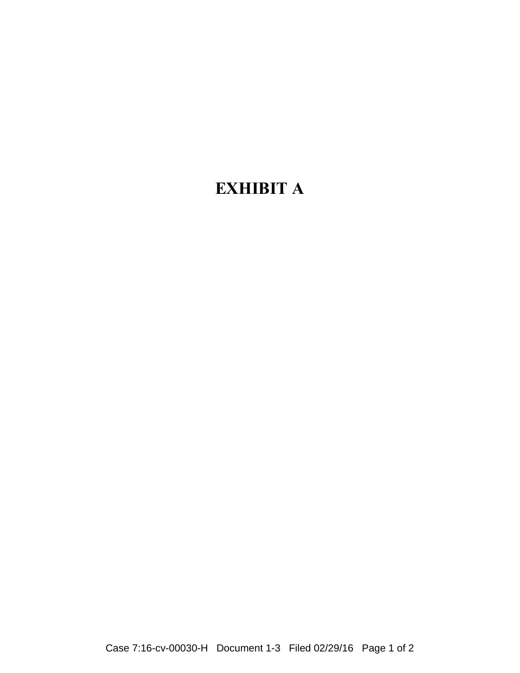## **EXHIBIT A**

Case 7:16-cv-00030-H Document 1-3 Filed 02/29/16 Page 1 of 2